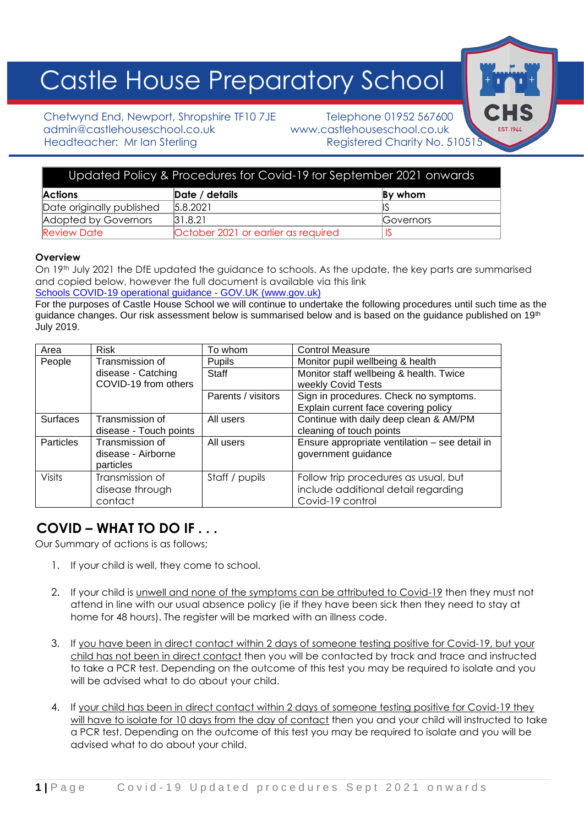# Castle House Preparatory School

Chetwynd End, Newport, Shropshire TF10 7JE Telephone 01952 567600 admin@castlehouseschool.co.uk www.castlehouseschool.co.uk Headteacher: Mr Ian Sterling Registered Charity No. 510515

| Updated Policy & Procedures for Covid-19 for September 2021 onwards |                                     |           |  |  |
|---------------------------------------------------------------------|-------------------------------------|-----------|--|--|
| <b>Actions</b>                                                      | Date / details                      | By whom   |  |  |
| Date originally published                                           | 5.8.2021                            |           |  |  |
| Adopted by Governors                                                | 31.8.21                             | Governors |  |  |
| <b>Review Date</b>                                                  | October 2021 or earlier as required |           |  |  |

# **Overview**

On 19th July 2021 the DfE updated the guidance to schools. As the update, the key parts are summarised and copied below, however the full document is available via this link Schools COVID-19 operational guidance - GOV.UK (www.gov.uk)

For the purposes of Castle House School we will continue to undertake the following procedures until such time as the guidance changes. Our risk assessment below is summarised below and is based on the guidance published on 19<sup>th</sup> July 2019.

| Area             | <b>Risk</b>            | To whom            | <b>Control Measure</b>                         |
|------------------|------------------------|--------------------|------------------------------------------------|
| People           | Transmission of        | Pupils             | Monitor pupil wellbeing & health               |
|                  | disease - Catching     | Staff              | Monitor staff wellbeing & health. Twice        |
|                  | COVID-19 from others   |                    | weekly Covid Tests                             |
|                  |                        | Parents / visitors | Sign in procedures. Check no symptoms.         |
|                  |                        |                    | Explain current face covering policy           |
| <b>Surfaces</b>  | Transmission of        | All users          | Continue with daily deep clean & AM/PM         |
|                  | disease - Touch points |                    | cleaning of touch points                       |
| <b>Particles</b> | Transmission of        | All users          | Ensure appropriate ventilation - see detail in |
|                  | disease - Airborne     |                    | government guidance                            |
|                  | particles              |                    |                                                |
| <b>Visits</b>    | Transmission of        | Staff / pupils     | Follow trip procedures as usual, but           |
|                  | disease through        |                    | include additional detail regarding            |
|                  | contact                |                    | Covid-19 control                               |

# **COVID – WHAT TO DO IF . . .**

Our Summary of actions is as follows;

- 1. If your child is well, they come to school.
- 2. If your child is unwell and none of the symptoms can be attributed to Covid-19 then they must not attend in line with our usual absence policy (ie if they have been sick then they need to stay at home for 48 hours). The register will be marked with an illness code.
- 3. If you have been in direct contact within 2 days of someone testing positive for Covid-19, but your child has not been in direct contact then you will be contacted by track and trace and instructed to take a PCR test. Depending on the outcome of this test you may be required to isolate and you will be advised what to do about your child.
- 4. If your child has been in direct contact within 2 days of someone testing positive for Covid-19 they will have to isolate for 10 days from the day of contact then you and your child will instructed to take a PCR test. Depending on the outcome of this test you may be required to isolate and you will be advised what to do about your child.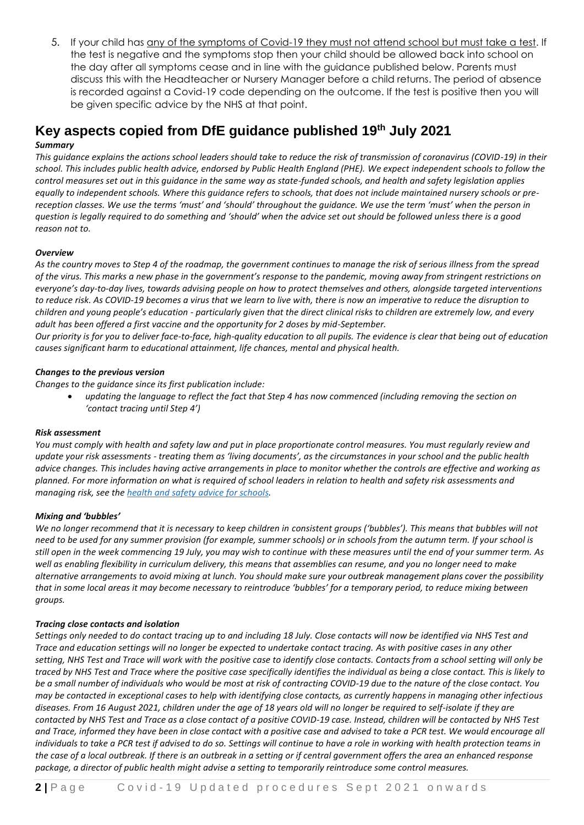5. If your child has any of the symptoms of Covid-19 they must not attend school but must take a test. If the test is negative and the symptoms stop then your child should be allowed back into school on the day after all symptoms cease and in line with the guidance published below. Parents must discuss this with the Headteacher or Nursery Manager before a child returns. The period of absence is recorded against a Covid-19 code depending on the outcome. If the test is positive then you will be given specific advice by the NHS at that point.

# **Key aspects copied from DfE guidance published 19th July 2021**

# *Summary*

*This guidance explains the actions school leaders should take to reduce the risk of transmission of coronavirus (COVID-19) in their school. This includes public health advice, endorsed by Public Health England (PHE). We expect independent schools to follow the control measures set out in this guidance in the same way as state-funded schools, and health and safety legislation applies equally to independent schools. Where this guidance refers to schools, that does not include maintained nursery schools or prereception classes. We use the terms 'must' and 'should' throughout the guidance. We use the term 'must' when the person in question is legally required to do something and 'should' when the advice set out should be followed unless there is a good reason not to.*

# *Overview*

*As the country moves to Step 4 of the roadmap, the government continues to manage the risk of serious illness from the spread of the virus. This marks a new phase in the government's response to the pandemic, moving away from stringent restrictions on everyone's day-to-day lives, towards advising people on how to protect themselves and others, alongside targeted interventions to reduce risk. As COVID-19 becomes a virus that we learn to live with, there is now an imperative to reduce the disruption to children and young people's education - particularly given that the direct clinical risks to children are extremely low, and every adult has been offered a first vaccine and the opportunity for 2 doses by mid-September.*

*Our priority is for you to deliver face-to-face, high-quality education to all pupils. The evidence is clear that being out of education causes significant harm to educational attainment, life chances, mental and physical health.*

# *Changes to the previous version*

*Changes to the guidance since its first publication include:*

• *updating the language to reflect the fact that Step 4 has now commenced (including removing the section on 'contact tracing until Step 4')*

# *Risk assessment*

*You must comply with health and safety law and put in place proportionate control measures. You must regularly review and update your risk assessments - treating them as 'living documents', as the circumstances in your school and the public health advice changes. This includes having active arrangements in place to monitor whether the controls are effective and working as planned. For more information on what is required of school leaders in relation to health and safety risk assessments and managing risk, see the health and safety advice for [schools.](https://www.gov.uk/government/publications/health-and-safety-advice-for-schools/responsibilities-and-duties-for-schools)*

# *Mixing and 'bubbles'*

*We no longer recommend that it is necessary to keep children in consistent groups ('bubbles'). This means that bubbles will not need to be used for any summer provision (for example, summer schools) or in schools from the autumn term. If your school is still open in the week commencing 19 July, you may wish to continue with these measures until the end of your summer term. As well as enabling flexibility in curriculum delivery, this means that assemblies can resume, and you no longer need to make alternative arrangements to avoid mixing at lunch. You should make sure your outbreak management plans cover the possibility that in some local areas it may become necessary to reintroduce 'bubbles' for a temporary period, to reduce mixing between groups.*

# *Tracing close contacts and isolation*

*Settings only needed to do contact tracing up to and including 18 July. Close contacts will now be identified via NHS Test and Trace and education settings will no longer be expected to undertake contact tracing. As with positive cases in any other setting, NHS Test and Trace will work with the positive case to identify close contacts. Contacts from a school setting will only be traced by NHS Test and Trace where the positive case specifically identifies the individual as being a close contact. This is likely to be a small number of individuals who would be most at risk of contracting COVID-19 due to the nature of the close contact. You may be contacted in exceptional cases to help with identifying close contacts, as currently happens in managing other infectious diseases. From 16 August 2021, children under the age of 18 years old will no longer be required to self-isolate if they are contacted by NHS Test and Trace as a close contact of a positive COVID-19 case. Instead, children will be contacted by NHS Test and Trace, informed they have been in close contact with a positive case and advised to take a PCR test. We would encourage all individuals to take a PCR test if advised to do so. Settings will continue to have a role in working with health protection teams in the case of a local outbreak. If there is an outbreak in a setting or if central government offers the area an enhanced response package, a director of public health might advise a setting to temporarily reintroduce some control measures.*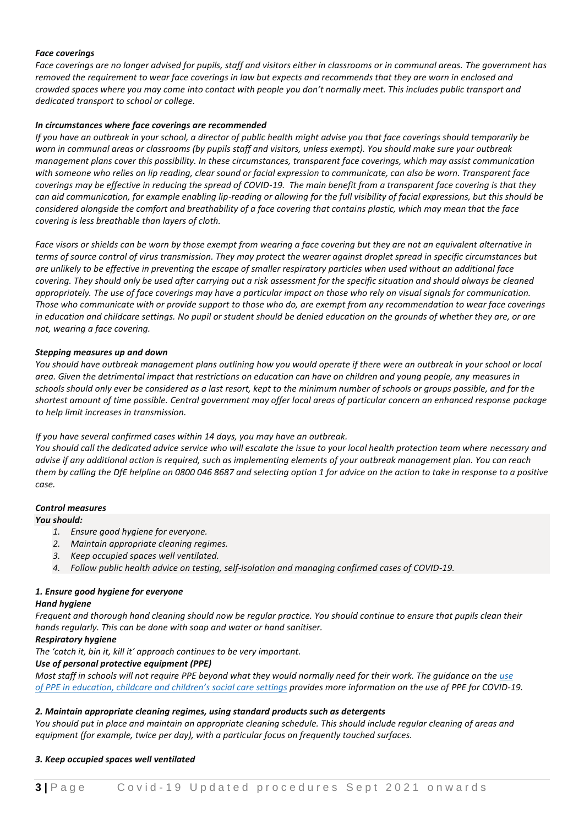#### *Face coverings*

*Face coverings are no longer advised for pupils, staff and visitors either in classrooms or in communal areas. The government has removed the requirement to wear face coverings in law but expects and recommends that they are worn in enclosed and crowded spaces where you may come into contact with people you don't normally meet. This includes public transport and dedicated transport to school or college.*

#### *In circumstances where face coverings are recommended*

*If you have an outbreak in your school, a director of public health might advise you that face coverings should temporarily be worn in communal areas or classrooms (by pupils staff and visitors, unless exempt). You should make sure your outbreak management plans cover this possibility. In these circumstances, transparent face coverings, which may assist communication with someone who relies on lip reading, clear sound or facial expression to communicate, can also be worn. Transparent face coverings may be effective in reducing the spread of COVID-19. The main benefit from a transparent face covering is that they can aid communication, for example enabling lip-reading or allowing for the full visibility of facial expressions, but this should be considered alongside the comfort and breathability of a face covering that contains plastic, which may mean that the face covering is less breathable than layers of cloth.*

*Face visors or shields can be worn by those exempt from wearing a face covering but they are not an equivalent alternative in terms of source control of virus transmission. They may protect the wearer against droplet spread in specific circumstances but are unlikely to be effective in preventing the escape of smaller respiratory particles when used without an additional face covering. They should only be used after carrying out a risk assessment for the specific situation and should always be cleaned appropriately. The use of face coverings may have a particular impact on those who rely on visual signals for communication. Those who communicate with or provide support to those who do, are exempt from any recommendation to wear face coverings in education and childcare settings. No pupil or student should be denied education on the grounds of whether they are, or are not, wearing a face covering.*

#### *Stepping measures up and down*

*You should have outbreak management plans outlining how you would operate if there were an outbreak in your school or local area. Given the detrimental impact that restrictions on education can have on children and young people, any measures in schools should only ever be considered as a last resort, kept to the minimum number of schools or groups possible, and for the shortest amount of time possible. Central government may offer local areas of particular concern an enhanced response package to help limit increases in transmission.*

#### *If you have several confirmed cases within 14 days, you may have an outbreak.*

*You should call the dedicated advice service who will escalate the issue to your local health protection team where necessary and advise if any additional action is required, such as implementing elements of your outbreak management plan. You can reach them by calling the DfE helpline on 0800 046 8687 and selecting option 1 for advice on the action to take in response to a positive case.*

#### *Control measures*

#### *You should:*

- *1. Ensure good hygiene for everyone.*
- *2. Maintain appropriate cleaning regimes.*
- *3. Keep occupied spaces well ventilated.*
- *4. Follow public health advice on testing, self-isolation and managing confirmed cases of COVID-19.*

#### *1. Ensure good hygiene for everyone*

#### *Hand hygiene*

*Frequent and thorough hand cleaning should now be regular practice. You should continue to ensure that pupils clean their hands regularly. This can be done with soap and water or hand sanitiser.*

#### *Respiratory hygiene*

*The 'catch it, bin it, kill it' approach continues to be very important.*

#### *Use of personal protective equipment (PPE)*

*Most staff in schools will not require PPE beyond what they would normally need for their work. The guidance on the [use](https://www.gov.uk/government/publications/safe-working-in-education-childcare-and-childrens-social-care) of PPE in [education,](https://www.gov.uk/government/publications/safe-working-in-education-childcare-and-childrens-social-care) childcare and children's social care settings provides more information on the use of PPE for COVID-19.*

#### *2. Maintain appropriate cleaning regimes, using standard products such as detergents*

*You should put in place and maintain an appropriate cleaning schedule. This should include regular cleaning of areas and equipment (for example, twice per day), with a particular focus on frequently touched surfaces.*

#### *3. Keep occupied spaces well ventilated*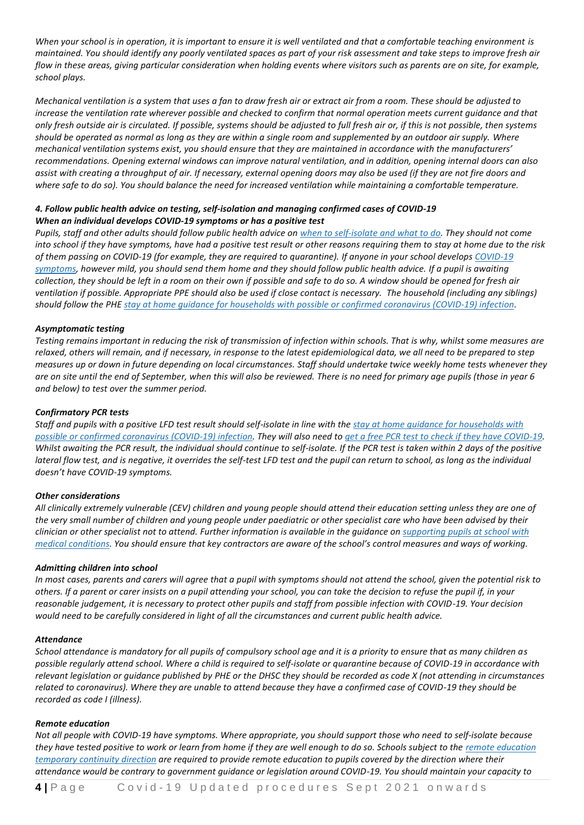*When your school is in operation, it is important to ensure it is well ventilated and that a comfortable teaching environment is maintained. You should identify any poorly ventilated spaces as part of your risk assessment and take steps to improve fresh air flow in these areas, giving particular consideration when holding events where visitors such as parents are on site, for example, school plays.*

*Mechanical ventilation is a system that uses a fan to draw fresh air or extract air from a room. These should be adjusted to increase the ventilation rate wherever possible and checked to confirm that normal operation meets current guidance and that only fresh outside air is circulated. If possible, systems should be adjusted to full fresh air or, if this is not possible, then systems should be operated as normal as long as they are within a single room and supplemented by an outdoor air supply. Where mechanical ventilation systems exist, you should ensure that they are maintained in accordance with the manufacturers' recommendations. Opening external windows can improve natural ventilation, and in addition, opening internal doors can also assist with creating a throughput of air. If necessary, external opening doors may also be used (if they are not fire doors and where safe to do so). You should balance the need for increased ventilation while maintaining a comfortable temperature.*

## *4. Follow public health advice on testing, self-isolation and managing confirmed cases of COVID-19 When an individual develops COVID-19 symptoms or has a positive test*

*Pupils, staff and other adults should follow public health advice on when to [self-isolate](https://www.nhs.uk/conditions/coronavirus-covid-19/self-isolation-and-treatment/when-to-self-isolate-and-what-to-do/) and what to do. They should not come into school if they have symptoms, have had a positive test result or other reasons requiring them to stay at home due to the risk of them passing on COVID-19 (for example, they are required to quarantine). If anyone in your school develops [COVID-19](https://www.nhs.uk/conditions/coronavirus-covid-19/symptoms/) [symptoms,](https://www.nhs.uk/conditions/coronavirus-covid-19/symptoms/) however mild, you should send them home and they should follow public health advice. If a pupil is awaiting collection, they should be left in a room on their own if possible and safe to do so. A window should be opened for fresh air ventilation if possible. Appropriate PPE should also be used if close contact is necessary. The household (including any siblings) should follow the PHE stay at home guidance for households with possible or confirmed [coronavirus](https://www.gov.uk/government/publications/covid-19-stay-at-home-guidance/stay-at-home-guidance-for-households-with-possible-coronavirus-covid-19-infection) (COVID-19) infection.*

#### *Asymptomatic testing*

*Testing remains important in reducing the risk of transmission of infection within schools. That is why, whilst some measures are relaxed, others will remain, and if necessary, in response to the latest epidemiological data, we all need to be prepared to step measures up or down in future depending on local circumstances. Staff should undertake twice weekly home tests whenever they are on site until the end of September, when this will also be reviewed. There is no need for primary age pupils (those in year 6 and below) to test over the summer period.* 

#### *Confirmatory PCR tests*

*Staff and pupils with a positive LFD test result should self-isolate in line with the stay at home guidance for [households](https://www.gov.uk/government/publications/covid-19-stay-at-home-guidance/stay-at-home-guidance-for-households-with-possible-coronavirus-covid-19-infection) with* possible or confirmed [coronavirus](https://www.gov.uk/government/publications/covid-19-stay-at-home-guidance/stay-at-home-guidance-for-households-with-possible-coronavirus-covid-19-infection) (COVID-19) infection. They will also need to get a free PCR test to check if they have [COVID-19.](https://www.gov.uk/get-coronavirus-test) *Whilst awaiting the PCR result, the individual should continue to self-isolate. If the PCR test is taken within 2 days of the positive lateral flow test, and is negative, it overrides the self-test LFD test and the pupil can return to school, as long as the individual doesn't have COVID-19 symptoms.*

#### *Other considerations*

*All clinically extremely vulnerable (CEV) children and young people should attend their education setting unless they are one of the very small number of children and young people under paediatric or other specialist care who have been advised by their clinician or other specialist not to attend. Further information is available in the guidance on [supporting](https://www.gov.uk/government/publications/supporting-pupils-at-school-with-medical-conditions--3) pupils at school with medical [conditions.](https://www.gov.uk/government/publications/supporting-pupils-at-school-with-medical-conditions--3) You should ensure that key contractors are aware of the school's control measures and ways of working.*

#### *Admitting children into school*

*In most cases, parents and carers will agree that a pupil with symptoms should not attend the school, given the potential risk to others. If a parent or carer insists on a pupil attending your school, you can take the decision to refuse the pupil if, in your reasonable judgement, it is necessary to protect other pupils and staff from possible infection with COVID-19. Your decision would need to be carefully considered in light of all the circumstances and current public health advice.*

#### *Attendance*

*School attendance is mandatory for all pupils of compulsory school age and it is a priority to ensure that as many children as possible regularly attend school. Where a child is required to self-isolate or quarantine because of COVID-19 in accordance with relevant legislation or guidance published by PHE or the DHSC they should be recorded as code X (not attending in circumstances related to coronavirus). Where they are unable to attend because they have a confirmed case of COVID-19 they should be recorded as code I (illness).*

#### *Remote education*

*Not all people with COVID-19 have symptoms. Where appropriate, you should support those who need to self-isolate because they have tested positive to work or learn from home if they are well enough to do so. Schools subject to the remote [education](https://www.gov.uk/government/publications/remote-education-temporary-continuity-direction-explanatory-note) [temporary](https://www.gov.uk/government/publications/remote-education-temporary-continuity-direction-explanatory-note) continuity direction are required to provide remote education to pupils covered by the direction where their attendance would be contrary to government guidance or legislation around COVID-19. You should maintain your capacity to*